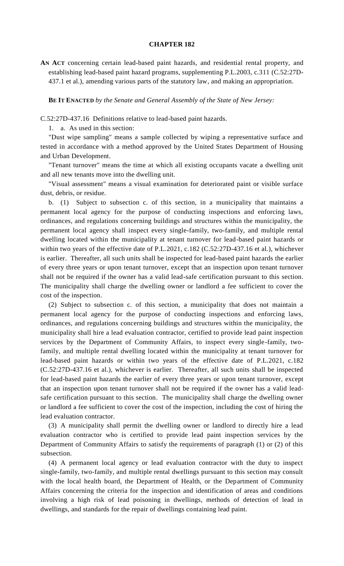## **CHAPTER 182**

**AN ACT** concerning certain lead-based paint hazards, and residential rental property, and establishing lead-based paint hazard programs, supplementing P.L.2003, c.311 (C.52:27D-437.1 et al.), amending various parts of the statutory law, and making an appropriation.

**BE IT ENACTED** *by the Senate and General Assembly of the State of New Jersey:*

C.52:27D-437.16 Definitions relative to lead-based paint hazards.

1. a. As used in this section:

"Dust wipe sampling" means a sample collected by wiping a representative surface and tested in accordance with a method approved by the United States Department of Housing and Urban Development.

"Tenant turnover" means the time at which all existing occupants vacate a dwelling unit and all new tenants move into the dwelling unit.

"Visual assessment" means a visual examination for deteriorated paint or visible surface dust, debris, or residue.

b. (1) Subject to subsection c. of this section, in a municipality that maintains a permanent local agency for the purpose of conducting inspections and enforcing laws, ordinances, and regulations concerning buildings and structures within the municipality, the permanent local agency shall inspect every single-family, two-family, and multiple rental dwelling located within the municipality at tenant turnover for lead-based paint hazards or within two years of the effective date of P.L.2021, c.182 (C.52:27D-437.16 et al.), whichever is earlier. Thereafter, all such units shall be inspected for lead-based paint hazards the earlier of every three years or upon tenant turnover, except that an inspection upon tenant turnover shall not be required if the owner has a valid lead-safe certification pursuant to this section. The municipality shall charge the dwelling owner or landlord a fee sufficient to cover the cost of the inspection.

(2) Subject to subsection c. of this section, a municipality that does not maintain a permanent local agency for the purpose of conducting inspections and enforcing laws, ordinances, and regulations concerning buildings and structures within the municipality, the municipality shall hire a lead evaluation contractor, certified to provide lead paint inspection services by the Department of Community Affairs, to inspect every single-family, twofamily, and multiple rental dwelling located within the municipality at tenant turnover for lead-based paint hazards or within two years of the effective date of P.L.2021, c.182 (C.52:27D-437.16 et al.), whichever is earlier. Thereafter, all such units shall be inspected for lead-based paint hazards the earlier of every three years or upon tenant turnover, except that an inspection upon tenant turnover shall not be required if the owner has a valid leadsafe certification pursuant to this section. The municipality shall charge the dwelling owner or landlord a fee sufficient to cover the cost of the inspection, including the cost of hiring the lead evaluation contractor.

(3) A municipality shall permit the dwelling owner or landlord to directly hire a lead evaluation contractor who is certified to provide lead paint inspection services by the Department of Community Affairs to satisfy the requirements of paragraph (1) or (2) of this subsection.

(4) A permanent local agency or lead evaluation contractor with the duty to inspect single-family, two-family, and multiple rental dwellings pursuant to this section may consult with the local health board, the Department of Health, or the Department of Community Affairs concerning the criteria for the inspection and identification of areas and conditions involving a high risk of lead poisoning in dwellings, methods of detection of lead in dwellings, and standards for the repair of dwellings containing lead paint.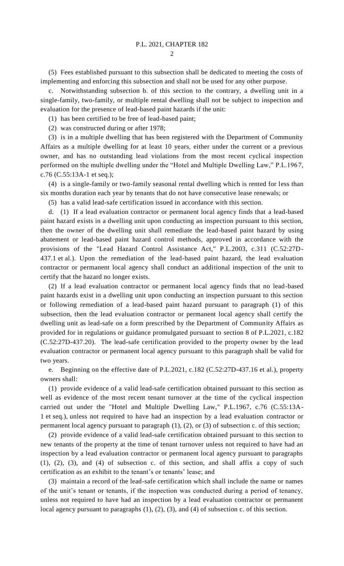$\mathcal{D}_{\mathcal{L}}$ 

(5) Fees established pursuant to this subsection shall be dedicated to meeting the costs of implementing and enforcing this subsection and shall not be used for any other purpose.

c. Notwithstanding subsection b. of this section to the contrary, a dwelling unit in a single-family, two-family, or multiple rental dwelling shall not be subject to inspection and evaluation for the presence of lead-based paint hazards if the unit:

(1) has been certified to be free of lead-based paint;

(2) was constructed during or after 1978;

(3) is in a multiple dwelling that has been registered with the Department of Community Affairs as a multiple dwelling for at least 10 years, either under the current or a previous owner, and has no outstanding lead violations from the most recent cyclical inspection performed on the multiple dwelling under the "Hotel and Multiple Dwelling Law," P.L.1967, c.76 (C.55:13A-1 et seq.);

(4) is a single-family or two-family seasonal rental dwelling which is rented for less than six months duration each year by tenants that do not have consecutive lease renewals; or

(5) has a valid lead-safe certification issued in accordance with this section.

d. (1) If a lead evaluation contractor or permanent local agency finds that a lead-based paint hazard exists in a dwelling unit upon conducting an inspection pursuant to this section, then the owner of the dwelling unit shall remediate the lead-based paint hazard by using abatement or lead-based paint hazard control methods, approved in accordance with the provisions of the "Lead Hazard Control Assistance Act," P.L.2003, c.311 (C.52:27D-437.1 et al.). Upon the remediation of the lead-based paint hazard, the lead evaluation contractor or permanent local agency shall conduct an additional inspection of the unit to certify that the hazard no longer exists.

(2) If a lead evaluation contractor or permanent local agency finds that no lead-based paint hazards exist in a dwelling unit upon conducting an inspection pursuant to this section or following remediation of a lead-based paint hazard pursuant to paragraph (1) of this subsection, then the lead evaluation contractor or permanent local agency shall certify the dwelling unit as lead-safe on a form prescribed by the Department of Community Affairs as provided for in regulations or guidance promulgated pursuant to section 8 of P.L.2021, c.182 (C.52:27D-437.20). The lead-safe certification provided to the property owner by the lead evaluation contractor or permanent local agency pursuant to this paragraph shall be valid for two years.

e. Beginning on the effective date of P.L.2021, c.182 (C.52:27D-437.16 et al.), property owners shall:

(1) provide evidence of a valid lead-safe certification obtained pursuant to this section as well as evidence of the most recent tenant turnover at the time of the cyclical inspection carried out under the "Hotel and Multiple Dwelling Law," P.L.1967, c.76 (C.55:13A-1 et seq.), unless not required to have had an inspection by a lead evaluation contractor or permanent local agency pursuant to paragraph (1), (2), or (3) of subsection c. of this section;

(2) provide evidence of a valid lead-safe certification obtained pursuant to this section to new tenants of the property at the time of tenant turnover unless not required to have had an inspection by a lead evaluation contractor or permanent local agency pursuant to paragraphs (1), (2), (3), and (4) of subsection c. of this section, and shall affix a copy of such certification as an exhibit to the tenant's or tenants' lease; and

(3) maintain a record of the lead-safe certification which shall include the name or names of the unit's tenant or tenants, if the inspection was conducted during a period of tenancy, unless not required to have had an inspection by a lead evaluation contractor or permanent local agency pursuant to paragraphs (1), (2), (3), and (4) of subsection c. of this section.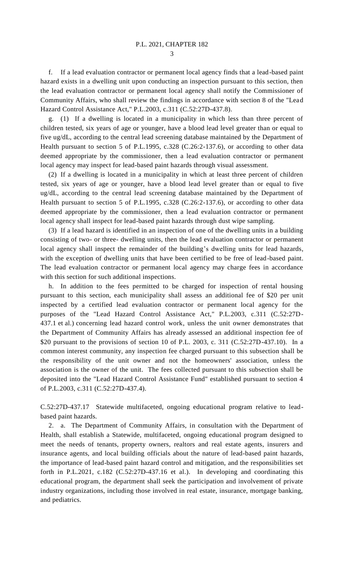3

f. If a lead evaluation contractor or permanent local agency finds that a lead-based paint hazard exists in a dwelling unit upon conducting an inspection pursuant to this section, then the lead evaluation contractor or permanent local agency shall notify the Commissioner of Community Affairs, who shall review the findings in accordance with section 8 of the "Lead Hazard Control Assistance Act," P.L.2003, c.311 (C.52:27D-437.8).

g. (1) If a dwelling is located in a municipality in which less than three percent of children tested, six years of age or younger, have a blood lead level greater than or equal to five ug/dL, according to the central lead screening database maintained by the Department of Health pursuant to section 5 of P.L.1995, c.328 (C.26:2-137.6), or according to other data deemed appropriate by the commissioner, then a lead evaluation contractor or permanent local agency may inspect for lead-based paint hazards through visual assessment.

(2) If a dwelling is located in a municipality in which at least three percent of children tested, six years of age or younger, have a blood lead level greater than or equal to five ug/dL, according to the central lead screening database maintained by the Department of Health pursuant to section 5 of P.L.1995, c.328 (C.26:2-137.6), or according to other data deemed appropriate by the commissioner, then a lead evaluation contractor or permanent local agency shall inspect for lead-based paint hazards through dust wipe sampling.

(3) If a lead hazard is identified in an inspection of one of the dwelling units in a building consisting of two- or three- dwelling units, then the lead evaluation contractor or permanent local agency shall inspect the remainder of the building's dwelling units for lead hazards, with the exception of dwelling units that have been certified to be free of lead-based paint. The lead evaluation contractor or permanent local agency may charge fees in accordance with this section for such additional inspections.

h. In addition to the fees permitted to be charged for inspection of rental housing pursuant to this section, each municipality shall assess an additional fee of \$20 per unit inspected by a certified lead evaluation contractor or permanent local agency for the purposes of the "Lead Hazard Control Assistance Act," P.L.2003, c.311 (C.52:27D-437.1 et al.) concerning lead hazard control work, unless the unit owner demonstrates that the Department of Community Affairs has already assessed an additional inspection fee of \$20 pursuant to the provisions of section 10 of P.L. 2003, c. 311 (C.52:27D-437.10). In a common interest community, any inspection fee charged pursuant to this subsection shall be the responsibility of the unit owner and not the homeowners' association, unless the association is the owner of the unit. The fees collected pursuant to this subsection shall be deposited into the "Lead Hazard Control Assistance Fund" established pursuant to section 4 of P.L.2003, c.311 (C.52:27D-437.4).

C.52:27D-437.17 Statewide multifaceted, ongoing educational program relative to leadbased paint hazards.

2. a. The Department of Community Affairs, in consultation with the Department of Health, shall establish a Statewide, multifaceted, ongoing educational program designed to meet the needs of tenants, property owners, realtors and real estate agents, insurers and insurance agents, and local building officials about the nature of lead-based paint hazards, the importance of lead-based paint hazard control and mitigation, and the responsibilities set forth in P.L.2021, c.182 (C.52:27D-437.16 et al.). In developing and coordinating this educational program, the department shall seek the participation and involvement of private industry organizations, including those involved in real estate, insurance, mortgage banking, and pediatrics.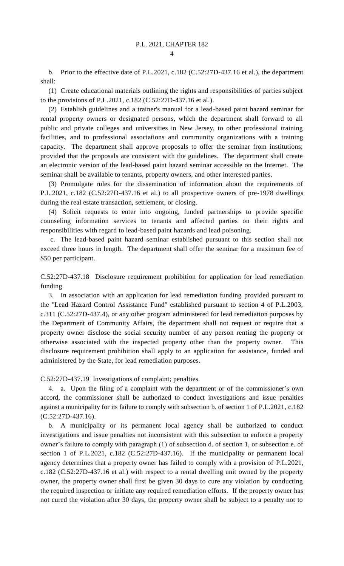b. Prior to the effective date of P.L.2021, c.182 (C.52:27D-437.16 et al.), the department shall:

(1) Create educational materials outlining the rights and responsibilities of parties subject to the provisions of P.L.2021, c.182 (C.52:27D-437.16 et al.).

(2) Establish guidelines and a trainer's manual for a lead-based paint hazard seminar for rental property owners or designated persons, which the department shall forward to all public and private colleges and universities in New Jersey, to other professional training facilities, and to professional associations and community organizations with a training capacity. The department shall approve proposals to offer the seminar from institutions; provided that the proposals are consistent with the guidelines. The department shall create an electronic version of the lead-based paint hazard seminar accessible on the Internet. The seminar shall be available to tenants, property owners, and other interested parties.

(3) Promulgate rules for the dissemination of information about the requirements of P.L.2021, c.182 (C.52:27D-437.16 et al.) to all prospective owners of pre-1978 dwellings during the real estate transaction, settlement, or closing.

(4) Solicit requests to enter into ongoing, funded partnerships to provide specific counseling information services to tenants and affected parties on their rights and responsibilities with regard to lead-based paint hazards and lead poisoning.

c. The lead-based paint hazard seminar established pursuant to this section shall not exceed three hours in length. The department shall offer the seminar for a maximum fee of \$50 per participant.

C.52:27D-437.18 Disclosure requirement prohibition for application for lead remediation funding.

3. In association with an application for lead remediation funding provided pursuant to the "Lead Hazard Control Assistance Fund" established pursuant to section 4 of P.L.2003, c.311 (C.52:27D-437.4), or any other program administered for lead remediation purposes by the Department of Community Affairs, the department shall not request or require that a property owner disclose the social security number of any person renting the property or otherwise associated with the inspected property other than the property owner. This disclosure requirement prohibition shall apply to an application for assistance, funded and administered by the State, for lead remediation purposes.

C.52:27D-437.19 Investigations of complaint; penalties.

4. a. Upon the filing of a complaint with the department or of the commissioner's own accord, the commissioner shall be authorized to conduct investigations and issue penalties against a municipality for its failure to comply with subsection b. of section 1 of P.L.2021, c.182 (C.52:27D-437.16).

b. A municipality or its permanent local agency shall be authorized to conduct investigations and issue penalties not inconsistent with this subsection to enforce a property owner's failure to comply with paragraph (1) of subsection d. of section 1, or subsection e. of section 1 of P.L.2021, c.182 (C.52:27D-437.16). If the municipality or permanent local agency determines that a property owner has failed to comply with a provision of P.L.2021, c.182 (C.52:27D-437.16 et al.) with respect to a rental dwelling unit owned by the property owner, the property owner shall first be given 30 days to cure any violation by conducting the required inspection or initiate any required remediation efforts. If the property owner has not cured the violation after 30 days, the property owner shall be subject to a penalty not to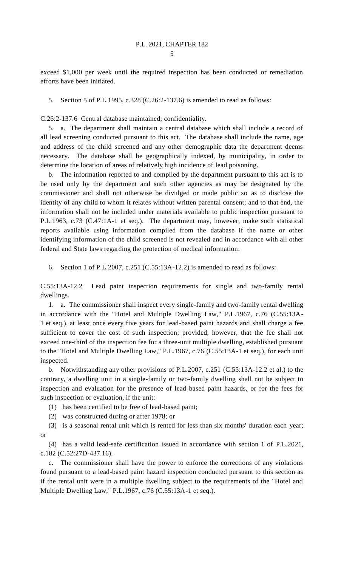exceed \$1,000 per week until the required inspection has been conducted or remediation efforts have been initiated.

5. Section 5 of P.L.1995, c.328 (C.26:2-137.6) is amended to read as follows:

C.26:2-137.6 Central database maintained; confidentiality.

5. a. The department shall maintain a central database which shall include a record of all lead screening conducted pursuant to this act. The database shall include the name, age and address of the child screened and any other demographic data the department deems necessary. The database shall be geographically indexed, by municipality, in order to determine the location of areas of relatively high incidence of lead poisoning.

b. The information reported to and compiled by the department pursuant to this act is to be used only by the department and such other agencies as may be designated by the commissioner and shall not otherwise be divulged or made public so as to disclose the identity of any child to whom it relates without written parental consent; and to that end, the information shall not be included under materials available to public inspection pursuant to P.L.1963, c.73 (C.47:1A-1 et seq.). The department may, however, make such statistical reports available using information compiled from the database if the name or other identifying information of the child screened is not revealed and in accordance with all other federal and State laws regarding the protection of medical information.

6. Section 1 of P.L.2007, c.251 (C.55:13A-12.2) is amended to read as follows:

C.55:13A-12.2 Lead paint inspection requirements for single and two-family rental dwellings.

1. a. The commissioner shall inspect every single-family and two-family rental dwelling in accordance with the "Hotel and Multiple Dwelling Law," P.L.1967, c.76 (C.55:13A-1 et seq.), at least once every five years for lead-based paint hazards and shall charge a fee sufficient to cover the cost of such inspection; provided, however, that the fee shall not exceed one-third of the inspection fee for a three-unit multiple dwelling, established pursuant to the "Hotel and Multiple Dwelling Law," P.L.1967, c.76 (C.55:13A-1 et seq.), for each unit inspected.

b. Notwithstanding any other provisions of P.L.2007, c.251 (C.55:13A-12.2 et al.) to the contrary, a dwelling unit in a single-family or two-family dwelling shall not be subject to inspection and evaluation for the presence of lead-based paint hazards, or for the fees for such inspection or evaluation, if the unit:

(1) has been certified to be free of lead-based paint;

(2) was constructed during or after 1978; or

(3) is a seasonal rental unit which is rented for less than six months' duration each year; or

(4) has a valid lead-safe certification issued in accordance with section 1 of P.L.2021, c.182 (C.52:27D-437.16).

c. The commissioner shall have the power to enforce the corrections of any violations found pursuant to a lead-based paint hazard inspection conducted pursuant to this section as if the rental unit were in a multiple dwelling subject to the requirements of the "Hotel and Multiple Dwelling Law," P.L.1967, c.76 (C.55:13A-1 et seq.).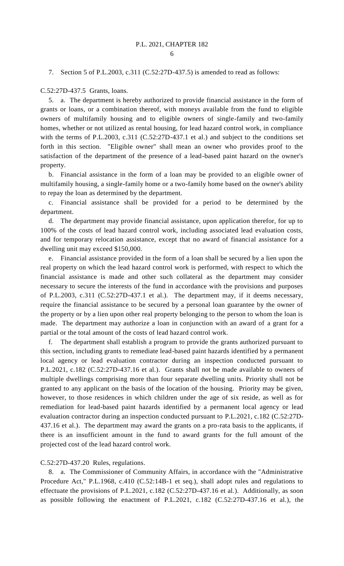## 7. Section 5 of P.L.2003, c.311 (C.52:27D-437.5) is amended to read as follows:

## C.52:27D-437.5 Grants, loans.

5. a. The department is hereby authorized to provide financial assistance in the form of grants or loans, or a combination thereof, with moneys available from the fund to eligible owners of multifamily housing and to eligible owners of single-family and two-family homes, whether or not utilized as rental housing, for lead hazard control work, in compliance with the terms of P.L.2003, c.311 (C.52:27D-437.1 et al.) and subject to the conditions set forth in this section. "Eligible owner" shall mean an owner who provides proof to the satisfaction of the department of the presence of a lead-based paint hazard on the owner's property.

b. Financial assistance in the form of a loan may be provided to an eligible owner of multifamily housing, a single-family home or a two-family home based on the owner's ability to repay the loan as determined by the department.

c. Financial assistance shall be provided for a period to be determined by the department.

d. The department may provide financial assistance, upon application therefor, for up to 100% of the costs of lead hazard control work, including associated lead evaluation costs, and for temporary relocation assistance, except that no award of financial assistance for a dwelling unit may exceed \$150,000.

e. Financial assistance provided in the form of a loan shall be secured by a lien upon the real property on which the lead hazard control work is performed, with respect to which the financial assistance is made and other such collateral as the department may consider necessary to secure the interests of the fund in accordance with the provisions and purposes of P.L.2003, c.311 (C.52:27D-437.1 et al.). The department may, if it deems necessary, require the financial assistance to be secured by a personal loan guarantee by the owner of the property or by a lien upon other real property belonging to the person to whom the loan is made. The department may authorize a loan in conjunction with an award of a grant for a partial or the total amount of the costs of lead hazard control work.

f. The department shall establish a program to provide the grants authorized pursuant to this section, including grants to remediate lead-based paint hazards identified by a permanent local agency or lead evaluation contractor during an inspection conducted pursuant to P.L.2021, c.182 (C.52:27D-437.16 et al.). Grants shall not be made available to owners of multiple dwellings comprising more than four separate dwelling units. Priority shall not be granted to any applicant on the basis of the location of the housing. Priority may be given, however, to those residences in which children under the age of six reside, as well as for remediation for lead-based paint hazards identified by a permanent local agency or lead evaluation contractor during an inspection conducted pursuant to P.L.2021, c.182 (C.52:27D-437.16 et al.). The department may award the grants on a pro-rata basis to the applicants, if there is an insufficient amount in the fund to award grants for the full amount of the projected cost of the lead hazard control work.

## C.52:27D-437.20 Rules, regulations.

8. a. The Commissioner of Community Affairs, in accordance with the "Administrative Procedure Act," P.L.1968, c.410 (C.52:14B-1 et seq.), shall adopt rules and regulations to effectuate the provisions of P.L.2021, c.182 (C.52:27D-437.16 et al.). Additionally, as soon as possible following the enactment of P.L.2021, c.182 (C.52:27D-437.16 et al.), the